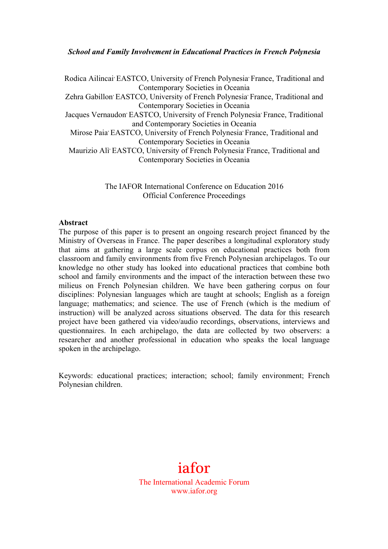## *School and Family Involvement in Educational Practices in French Polynesia*

Rodica Ailincai<sup>,</sup> EASTCO, University of French Polynesia<sup>,</sup> France, Traditional and Contemporary Societies in Oceania Zehra Gabillon<sup>,</sup> EASTCO, University of French Polynesia<sup>,</sup> France, Traditional and Contemporary Societies in Oceania Jacques Vernaudon<sup>,</sup> EASTCO, University of French Polynesia<sup>,</sup> France, Traditional and Contemporary Societies in Oceania Mirose Paia<sup>,</sup> EASTCO, University of French Polynesia<sup>,</sup> France, Traditional and Contemporary Societies in Oceania Maurizio Alì<sup>,</sup> EASTCO, University of French Polynesia<sup>,</sup> France, Traditional and Contemporary Societies in Oceania

> The IAFOR International Conference on Education 2016 Official Conference Proceedings

#### **Abstract**

The purpose of this paper is to present an ongoing research project financed by the Ministry of Overseas in France. The paper describes a longitudinal exploratory study that aims at gathering a large scale corpus on educational practices both from classroom and family environments from five French Polynesian archipelagos. To our knowledge no other study has looked into educational practices that combine both school and family environments and the impact of the interaction between these two milieus on French Polynesian children. We have been gathering corpus on four disciplines: Polynesian languages which are taught at schools; English as a foreign language; mathematics; and science. The use of French (which is the medium of instruction) will be analyzed across situations observed. The data for this research project have been gathered via video/audio recordings, observations, interviews and questionnaires. In each archipelago, the data are collected by two observers: a researcher and another professional in education who speaks the local language spoken in the archipelago.

Keywords: educational practices; interaction; school; family environment; French Polynesian children.

# iafor The International Academic Forum www.iafor.org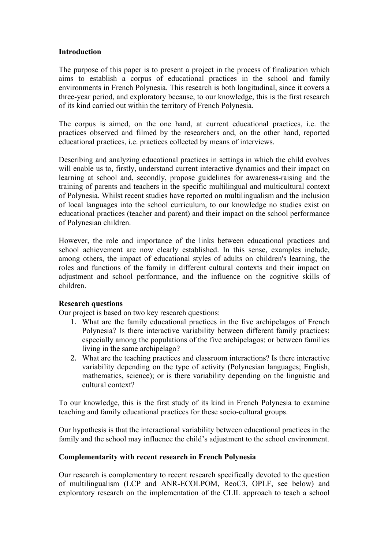## **Introduction**

The purpose of this paper is to present a project in the process of finalization which aims to establish a corpus of educational practices in the school and family environments in French Polynesia. This research is both longitudinal, since it covers a three-year period, and exploratory because, to our knowledge, this is the first research of its kind carried out within the territory of French Polynesia.

The corpus is aimed, on the one hand, at current educational practices, i.e. the practices observed and filmed by the researchers and, on the other hand, reported educational practices, i.e. practices collected by means of interviews.

Describing and analyzing educational practices in settings in which the child evolves will enable us to, firstly, understand current interactive dynamics and their impact on learning at school and, secondly, propose guidelines for awareness-raising and the training of parents and teachers in the specific multilingual and multicultural context of Polynesia. Whilst recent studies have reported on multilingualism and the inclusion of local languages into the school curriculum, to our knowledge no studies exist on educational practices (teacher and parent) and their impact on the school performance of Polynesian children.

However, the role and importance of the links between educational practices and school achievement are now clearly established. In this sense, examples include, among others, the impact of educational styles of adults on children's learning, the roles and functions of the family in different cultural contexts and their impact on adjustment and school performance, and the influence on the cognitive skills of children.

# **Research questions**

Our project is based on two key research questions:

- 1. What are the family educational practices in the five archipelagos of French Polynesia? Is there interactive variability between different family practices: especially among the populations of the five archipelagos; or between families living in the same archipelago?
- 2. What are the teaching practices and classroom interactions? Is there interactive variability depending on the type of activity (Polynesian languages; English, mathematics, science); or is there variability depending on the linguistic and cultural context?

To our knowledge, this is the first study of its kind in French Polynesia to examine teaching and family educational practices for these socio-cultural groups.

Our hypothesis is that the interactional variability between educational practices in the family and the school may influence the child's adjustment to the school environment.

#### **Complementarity with recent research in French Polynesia**

Our research is complementary to recent research specifically devoted to the question of multilingualism (LCP and ANR-ECOLPOM, ReoC3, OPLF, see below) and exploratory research on the implementation of the CLIL approach to teach a school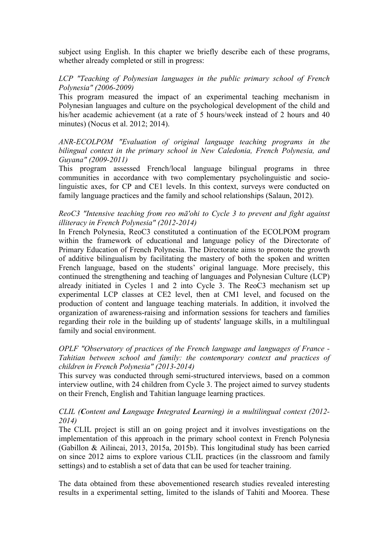subject using English. In this chapter we briefly describe each of these programs, whether already completed or still in progress:

*LCP "Teaching of Polynesian languages in the public primary school of French Polynesia" (2006-2009)*

This program measured the impact of an experimental teaching mechanism in Polynesian languages and culture on the psychological development of the child and his/her academic achievement (at a rate of 5 hours/week instead of 2 hours and 40 minutes) (Nocus et al. 2012; 2014).

*ANR-ECOLPOM "Evaluation of original language teaching programs in the bilingual context in the primary school in New Caledonia, French Polynesia, and Guyana" (2009-2011)*

This program assessed French/local language bilingual programs in three communities in accordance with two complementary psycholinguistic and sociolinguistic axes, for CP and CE1 levels. In this context, surveys were conducted on family language practices and the family and school relationships (Salaun, 2012).

#### *ReoC3 "Intensive teaching from reo mā'ohi to Cycle 3 to prevent and fight against illiteracy in French Polynesia" (2012-2014)*

In French Polynesia, ReoC3 constituted a continuation of the ECOLPOM program within the framework of educational and language policy of the Directorate of Primary Education of French Polynesia. The Directorate aims to promote the growth of additive bilingualism by facilitating the mastery of both the spoken and written French language, based on the students' original language. More precisely, this continued the strengthening and teaching of languages and Polynesian Culture (LCP) already initiated in Cycles 1 and 2 into Cycle 3. The ReoC3 mechanism set up experimental LCP classes at CE2 level, then at CM1 level, and focused on the production of content and language teaching materials. In addition, it involved the organization of awareness-raising and information sessions for teachers and families regarding their role in the building up of students' language skills, in a multilingual family and social environment.

## *OPLF "Observatory of practices of the French language and languages of France - Tahitian between school and family: the contemporary context and practices of children in French Polynesia" (2013-2014)*

This survey was conducted through semi-structured interviews, based on a common interview outline, with 24 children from Cycle 3. The project aimed to survey students on their French, English and Tahitian language learning practices.

#### *CLIL (Content and Language Integrated Learning) in a multilingual context (2012- 2014)*

The CLIL project is still an on going project and it involves investigations on the implementation of this approach in the primary school context in French Polynesia (Gabillon & Ailincai, 2013, 2015a, 2015b). This longitudinal study has been carried on since 2012 aims to explore various CLIL practices (in the classroom and family settings) and to establish a set of data that can be used for teacher training.

The data obtained from these abovementioned research studies revealed interesting results in a experimental setting, limited to the islands of Tahiti and Moorea. These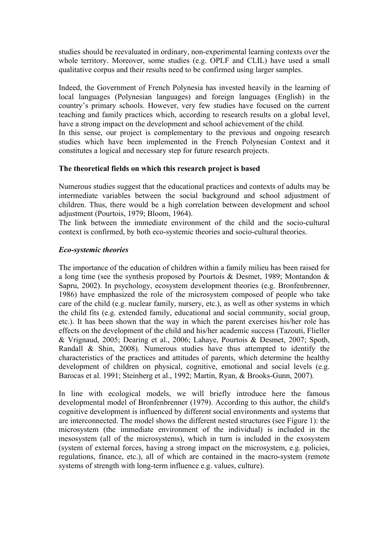studies should be reevaluated in ordinary, non-experimental learning contexts over the whole territory. Moreover, some studies (e.g. OPLF and CLIL) have used a small qualitative corpus and their results need to be confirmed using larger samples.

Indeed, the Government of French Polynesia has invested heavily in the learning of local languages (Polynesian languages) and foreign languages (English) in the country's primary schools. However, very few studies have focused on the current teaching and family practices which, according to research results on a global level, have a strong impact on the development and school achievement of the child.

In this sense, our project is complementary to the previous and ongoing research studies which have been implemented in the French Polynesian Context and it constitutes a logical and necessary step for future research projects.

#### **The theoretical fields on which this research project is based**

Numerous studies suggest that the educational practices and contexts of adults may be intermediate variables between the social background and school adjustment of children. Thus, there would be a high correlation between development and school adjustment (Pourtois, 1979; Bloom, 1964).

The link between the immediate environment of the child and the socio-cultural context is confirmed, by both eco-systemic theories and socio-cultural theories.

## *Eco-systemic theories*

The importance of the education of children within a family milieu has been raised for a long time (see the synthesis proposed by Pourtois & Desmet, 1989; Montandon & Sapru, 2002). In psychology, ecosystem development theories (e.g. Bronfenbrenner, 1986) have emphasized the role of the microsystem composed of people who take care of the child (e.g. nuclear family, nursery, etc.), as well as other systems in which the child fits (e.g. extended family, educational and social community, social group, etc.). It has been shown that the way in which the parent exercises his/her role has effects on the development of the child and his/her academic success (Tazouti, Flieller & Vrignaud, 2005; Dearing et al., 2006; Lahaye, Pourtois & Desmet, 2007; Spoth, Randall & Shin, 2008). Numerous studies have thus attempted to identify the characteristics of the practices and attitudes of parents, which determine the healthy development of children on physical, cognitive, emotional and social levels (e.g. Barocas et al. 1991; Steinberg et al., 1992; Martin, Ryan, & Brooks-Gunn, 2007).

In line with ecological models, we will briefly introduce here the famous developmental model of Bronfenbrenner (1979). According to this author, the child's cognitive development is influenced by different social environments and systems that are interconnected. The model shows the different nested structures (see Figure 1): the microsystem (the immediate environment of the individual) is included in the mesosystem (all of the microsystems), which in turn is included in the exosystem (system of external forces, having a strong impact on the microsystem, e.g. policies, regulations, finance, etc.), all of which are contained in the macro-system (remote systems of strength with long-term influence e.g. values, culture).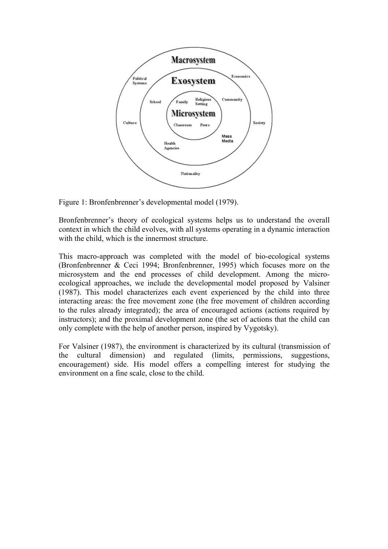

Figure 1: Bronfenbrenner's developmental model (1979).

Bronfenbrenner's theory of ecological systems helps us to understand the overall context in which the child evolves, with all systems operating in a dynamic interaction with the child, which is the innermost structure.

This macro-approach was completed with the model of bio-ecological systems (Bronfenbrenner & Ceci 1994; Bronfenbrenner, 1995) which focuses more on the microsystem and the end processes of child development. Among the microecological approaches, we include the developmental model proposed by Valsiner (1987). This model characterizes each event experienced by the child into three interacting areas: the free movement zone (the free movement of children according to the rules already integrated); the area of encouraged actions (actions required by instructors); and the proximal development zone (the set of actions that the child can only complete with the help of another person, inspired by Vygotsky).

For Valsiner (1987), the environment is characterized by its cultural (transmission of the cultural dimension) and regulated (limits, permissions, suggestions, encouragement) side. His model offers a compelling interest for studying the environment on a fine scale, close to the child.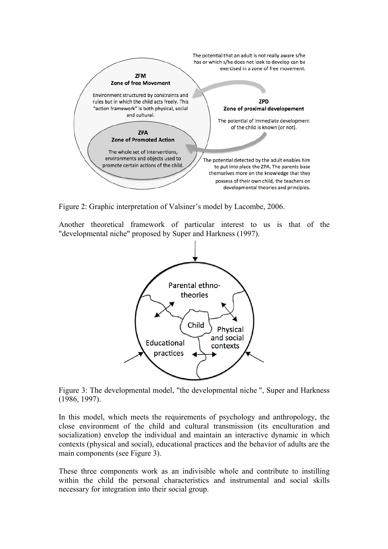

Figure 2: Graphic interpretation of Valsiner's model by Lacombe, 2006.

Another theoretical framework of particular interest to us is that of the "developmental niche" proposed by Super and Harkness (1997).



Figure 3: The developmental model, "the developmental niche ", Super and Harkness (1986, 1997).

In this model, which meets the requirements of psychology and anthropology, the close environment of the child and cultural transmission (its enculturation and socialization) envelop the individual and maintain an interactive dynamic in which contexts (physical and social), educational practices and the behavior of adults are the main components (see Figure 3).

These three components work as an indivisible whole and contribute to instilling within the child the personal characteristics and instrumental and social skills necessary for integration into their social group.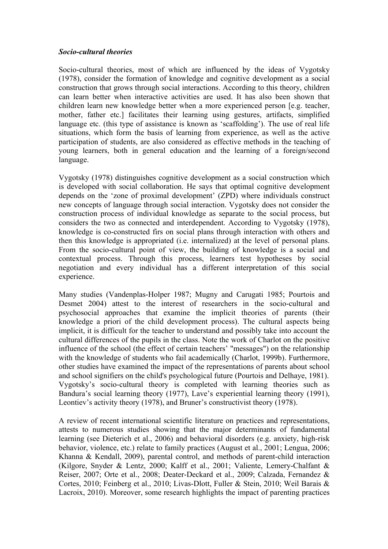#### *Socio-cultural theories*

Socio-cultural theories, most of which are influenced by the ideas of Vygotsky (1978), consider the formation of knowledge and cognitive development as a social construction that grows through social interactions. According to this theory, children can learn better when interactive activities are used. It has also been shown that children learn new knowledge better when a more experienced person [e.g. teacher, mother, father etc.] facilitates their learning using gestures, artifacts, simplified language etc. (this type of assistance is known as 'scaffolding'). The use of real life situations, which form the basis of learning from experience, as well as the active participation of students, are also considered as effective methods in the teaching of young learners, both in general education and the learning of a foreign/second language.

Vygotsky (1978) distinguishes cognitive development as a social construction which is developed with social collaboration. He says that optimal cognitive development depends on the 'zone of proximal development' (ZPD) where individuals construct new concepts of language through social interaction. Vygotsky does not consider the construction process of individual knowledge as separate to the social process, but considers the two as connected and interdependent. According to Vygotsky (1978), knowledge is co-constructed firs on social plans through interaction with others and then this knowledge is appropriated (i.e. internalized) at the level of personal plans. From the socio-cultural point of view, the building of knowledge is a social and contextual process. Through this process, learners test hypotheses by social negotiation and every individual has a different interpretation of this social experience.

Many studies (Vandenplas-Holper 1987; Mugny and Carugati 1985; Pourtois and Desmet 2004) attest to the interest of researchers in the socio-cultural and psychosocial approaches that examine the implicit theories of parents (their knowledge a priori of the child development process). The cultural aspects being implicit, it is difficult for the teacher to understand and possibly take into account the cultural differences of the pupils in the class. Note the work of Charlot on the positive influence of the school (the effect of certain teachers' "messages") on the relationship with the knowledge of students who fail academically (Charlot, 1999b). Furthermore, other studies have examined the impact of the representations of parents about school and school signifiers on the child's psychological future (Pourtois and Delhaye, 1981). Vygotsky's socio-cultural theory is completed with learning theories such as Bandura's social learning theory (1977), Lave's experiential learning theory (1991), Leontiev's activity theory (1978), and Bruner's constructivist theory (1978).

A review of recent international scientific literature on practices and representations, attests to numerous studies showing that the major determinants of fundamental learning (see Dieterich et al., 2006) and behavioral disorders (e.g. anxiety, high-risk behavior, violence, etc.) relate to family practices (August et al., 2001; Lengua, 2006; Khanna & Kendall, 2009), parental control, and methods of parent-child interaction (Kilgore, Snyder & Lentz, 2000; Kalff et al., 2001; Valiente, Lemery-Chalfant & Reiser, 2007; Orte et al., 2008; Deater-Deckard et al., 2009; Calzada, Fernandez & Cortes, 2010; Feinberg et al., 2010; Livas-Dlott, Fuller & Stein, 2010; Weil Barais & Lacroix, 2010). Moreover, some research highlights the impact of parenting practices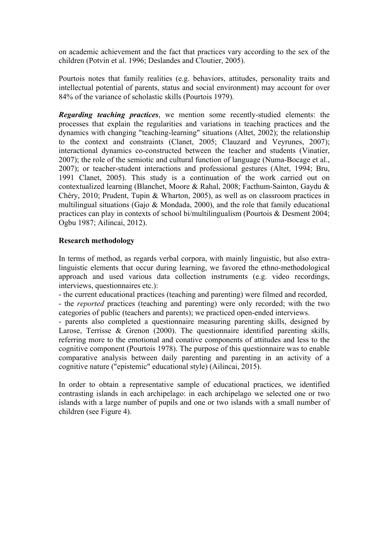on academic achievement and the fact that practices vary according to the sex of the children (Potvin et al. 1996; Deslandes and Cloutier, 2005).

Pourtois notes that family realities (e.g. behaviors, attitudes, personality traits and intellectual potential of parents, status and social environment) may account for over 84% of the variance of scholastic skills (Pourtois 1979).

*Regarding teaching practices*, we mention some recently-studied elements: the processes that explain the regularities and variations in teaching practices and the dynamics with changing "teaching-learning" situations (Altet, 2002); the relationship to the context and constraints (Clanet, 2005; Clauzard and Veyrunes, 2007); interactional dynamics co-constructed between the teacher and students (Vinatier, 2007); the role of the semiotic and cultural function of language (Numa-Bocage et al., 2007); or teacher-student interactions and professional gestures (Altet, 1994; Bru, 1991 Clanet, 2005). This study is a continuation of the work carried out on contextualized learning (Blanchet, Moore & Rahal, 2008; Facthum-Sainton, Gaydu & Chéry, 2010; Prudent, Tupin & Wharton, 2005), as well as on classroom practices in multilingual situations (Gajo & Mondada, 2000), and the role that family educational practices can play in contexts of school bi/multilingualism (Pourtois & Desment 2004; Ogbu 1987; Ailincai, 2012).

## **Research methodology**

In terms of method, as regards verbal corpora, with mainly linguistic, but also extralinguistic elements that occur during learning, we favored the ethno-methodological approach and used various data collection instruments (e.g. video recordings, interviews, questionnaires etc.):

- the current educational practices (teaching and parenting) were filmed and recorded, - the *reported* practices (teaching and parenting) were only recorded; with the two categories of public (teachers and parents); we practiced open-ended interviews.

- parents also completed a questionnaire measuring parenting skills, designed by Larose, Terrisse & Grenon (2000). The questionnaire identified parenting skills, referring more to the emotional and conative components of attitudes and less to the cognitive component (Pourtois 1978). The purpose of this questionnaire was to enable comparative analysis between daily parenting and parenting in an activity of a cognitive nature ("epistemic" educational style) (Ailincai, 2015).

In order to obtain a representative sample of educational practices, we identified contrasting islands in each archipelago: in each archipelago we selected one or two islands with a large number of pupils and one or two islands with a small number of children (see Figure 4).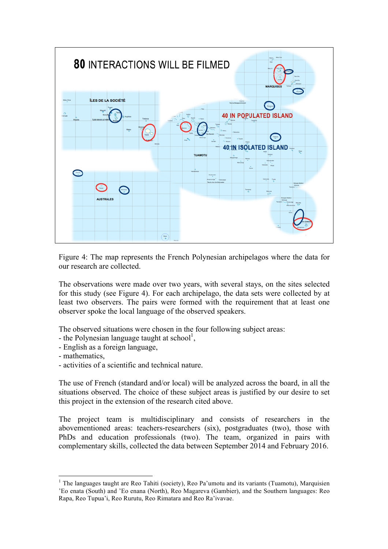

Figure 4: The map represents the French Polynesian archipelagos where the data for our research are collected.

The observations were made over two years, with several stays, on the sites selected for this study (see Figure 4). For each archipelago, the data sets were collected by at least two observers. The pairs were formed with the requirement that at least one observer spoke the local language of the observed speakers.

The observed situations were chosen in the four following subject areas:

- the Polynesian language taught at school<sup>1</sup>,
- English as a foreign language,
- mathematics,
- activities of a scientific and technical nature.

The use of French (standard and/or local) will be analyzed across the board, in all the situations observed. The choice of these subject areas is justified by our desire to set this project in the extension of the research cited above.

The project team is multidisciplinary and consists of researchers in the abovementioned areas: teachers-researchers (six), postgraduates (two), those with PhDs and education professionals (two). The team, organized in pairs with complementary skills, collected the data between September 2014 and February 2016.

<sup>&</sup>lt;sup>1</sup> The languages taught are Reo Tahiti (society), Reo Pa'umotu and its variants (Tuamotu), Marquisien 'Eo enata (South) and 'Eo enana (North), Reo Magareva (Gambier), and the Southern languages: Reo Rapa, Reo Tupua'i, Reo Rurutu, Reo Rimatara and Reo Ra'ivavae.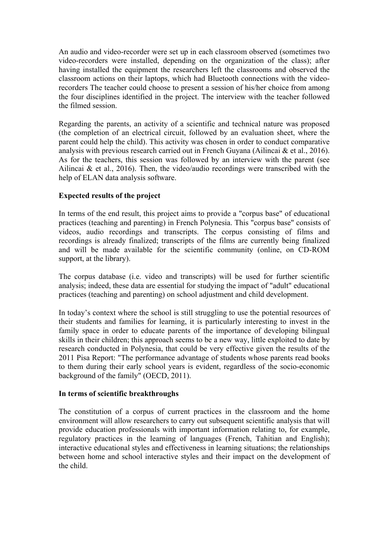An audio and video-recorder were set up in each classroom observed (sometimes two video-recorders were installed, depending on the organization of the class); after having installed the equipment the researchers left the classrooms and observed the classroom actions on their laptops, which had Bluetooth connections with the videorecorders The teacher could choose to present a session of his/her choice from among the four disciplines identified in the project. The interview with the teacher followed the filmed session.

Regarding the parents, an activity of a scientific and technical nature was proposed (the completion of an electrical circuit, followed by an evaluation sheet, where the parent could help the child). This activity was chosen in order to conduct comparative analysis with previous research carried out in French Guyana (Ailincai  $\&$  et al., 2016). As for the teachers, this session was followed by an interview with the parent (see Ailincai  $\&$  et al., 2016). Then, the video/audio recordings were transcribed with the help of ELAN data analysis software.

# **Expected results of the project**

In terms of the end result, this project aims to provide a "corpus base" of educational practices (teaching and parenting) in French Polynesia. This "corpus base" consists of videos, audio recordings and transcripts. The corpus consisting of films and recordings is already finalized; transcripts of the films are currently being finalized and will be made available for the scientific community (online, on CD-ROM support, at the library).

The corpus database (i.e. video and transcripts) will be used for further scientific analysis; indeed, these data are essential for studying the impact of "adult" educational practices (teaching and parenting) on school adjustment and child development.

In today's context where the school is still struggling to use the potential resources of their students and families for learning, it is particularly interesting to invest in the family space in order to educate parents of the importance of developing bilingual skills in their children; this approach seems to be a new way, little exploited to date by research conducted in Polynesia, that could be very effective given the results of the 2011 Pisa Report: "The performance advantage of students whose parents read books to them during their early school years is evident, regardless of the socio-economic background of the family" (OECD, 2011).

# **In terms of scientific breakthroughs**

The constitution of a corpus of current practices in the classroom and the home environment will allow researchers to carry out subsequent scientific analysis that will provide education professionals with important information relating to, for example, regulatory practices in the learning of languages (French, Tahitian and English); interactive educational styles and effectiveness in learning situations; the relationships between home and school interactive styles and their impact on the development of the child.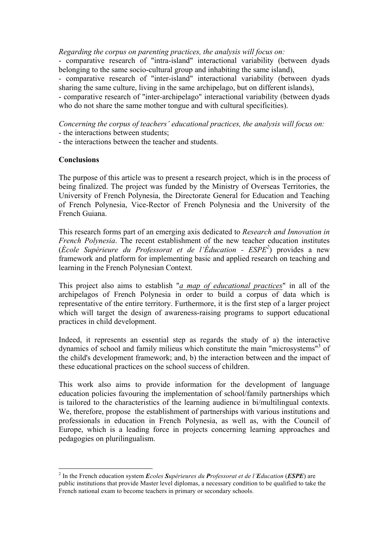*Regarding the corpus on parenting practices, the analysis will focus on:*

- comparative research of "intra-island" interactional variability (between dyads belonging to the same socio-cultural group and inhabiting the same island),

- comparative research of "inter-island" interactional variability (between dyads sharing the same culture, living in the same archipelago, but on different islands),

- comparative research of "inter-archipelago" interactional variability (between dyads who do not share the same mother tongue and with cultural specificities).

*Concerning the corpus of teachers' educational practices, the analysis will focus on:*

- the interactions between students;

- the interactions between the teacher and students.

## **Conclusions**

The purpose of this article was to present a research project, which is in the process of being finalized. The project was funded by the Ministry of Overseas Territories, the University of French Polynesia, the Directorate General for Education and Teaching of French Polynesia, Vice-Rector of French Polynesia and the University of the French Guiana.

This research forms part of an emerging axis dedicated to *Research and Innovation in French Polynesia*. The recent establishment of the new teacher education institutes (*École Supérieure du Professorat et de l'Éducation - ESPE2* ) provides a new framework and platform for implementing basic and applied research on teaching and learning in the French Polynesian Context.

This project also aims to establish "*a map of educational practices*" in all of the archipelagos of French Polynesia in order to build a corpus of data which is representative of the entire territory. Furthermore, it is the first step of a larger project which will target the design of awareness-raising programs to support educational practices in child development.

Indeed, it represents an essential step as regards the study of a) the interactive dynamics of school and family milieus which constitute the main "microsystems"<sup>3</sup> of the child's development framework; and, b) the interaction between and the impact of these educational practices on the school success of children.

This work also aims to provide information for the development of language education policies favouring the implementation of school/family partnerships which is tailored to the characteristics of the learning audience in bi/multilingual contexts. We, therefore, propose the establishment of partnerships with various institutions and professionals in education in French Polynesia, as well as, with the Council of Europe, which is a leading force in projects concerning learning approaches and pedagogies on plurilingualism.

 <sup>2</sup> In the French education system *<sup>E</sup>coles Supérieures du Professorat et de l'Education* (*ESPE*) are public institutions that provide Master level diplomas, a necessary condition to be qualified to take the French national exam to become teachers in primary or secondary schools.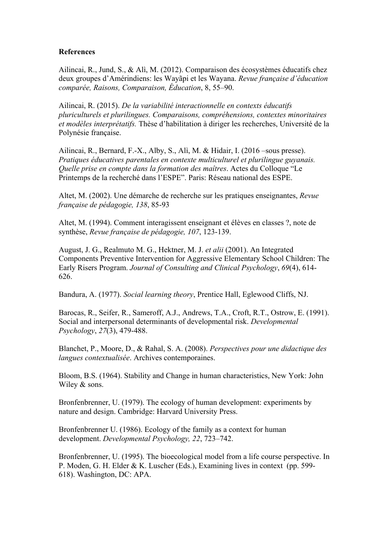## **References**

Ailincai, R., Jund, S., & Alì, M. (2012). Comparaison des écosystèmes éducatifs chez deux groupes d'Amérindiens: les Wayãpi et les Wayana. *Revue française d'éducation comparée, Raisons, Comparaison, Éducation*, 8, 55–90.

Ailincai, R. (2015). *De la variabilité interactionnelle en contexts éducatifs pluriculturels et plurilingues. Comparaisons, compréhensions, contextes minoritaires et modèles interprétatifs.* Thèse d'habilitation à diriger les recherches, Université de la Polynésie française.

Ailincai, R., Bernard, F.-X., Alby, S., Alì, M. & Hidair, I. (2016 –sous presse). *Pratiques éducatives parentales en contexte multiculturel et plurilingue guyanais. Quelle prise en compte dans la formation des maîtres*. Actes du Colloque "Le Printemps de la recherché dans l'ESPE". Paris: Réseau national des ESPE.

Altet, M. (2002). Une démarche de recherche sur les pratiques enseignantes, *Revue française de pédagogie, 138*, 85-93

Altet, M. (1994). Comment interagissent enseignant et élèves en classes ?, note de synthèse, *Revue française de pédagogie, 107*, 123-139.

August, J. G., Realmuto M. G., Hektner, M. J. *et alii* (2001). An Integrated Components Preventive Intervention for Aggressive Elementary School Children: The Early Risers Program. *Journal of Consulting and Clinical Psychology*, *69*(4), 614- 626.

Bandura, A. (1977). *Social learning theory*, Prentice Hall, Eglewood Cliffs, NJ.

Barocas, R., Seifer, R., Sameroff, A.J., Andrews, T.A., Croft, R.T., Ostrow, E. (1991). Social and interpersonal determinants of developmental risk. *Developmental Psychology*, *27*(3), 479-488.

Blanchet, P., Moore, D., & Rahal, S. A. (2008). *Perspectives pour une didactique des langues contextualisée*. Archives contemporaines.

Bloom, B.S. (1964). Stability and Change in human characteristics, New York: John Wiley & sons.

Bronfenbrenner, U. (1979). The ecology of human development: experiments by nature and design. Cambridge: Harvard University Press.

Bronfenbrenner U. (1986). Ecology of the family as a context for human development. *Developmental Psychology, 22*, 723–742.

Bronfenbrenner, U. (1995). The bioecological model from a life course perspective. In P. Moden, G. H. Elder & K. Luscher (Eds.), Examining lives in context (pp. 599- 618). Washington, DC: APA.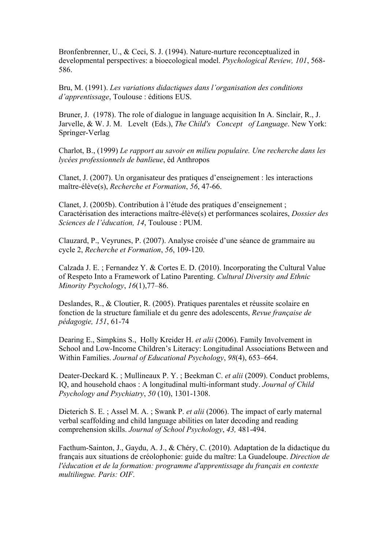Bronfenbrenner, U., & Ceci, S. J. (1994). Nature-nurture reconceptualized in developmental perspectives: a bioecological model. *Psychological Review, 101*, 568- 586.

Bru, M. (1991). *Les variations didactiques dans l'organisation des conditions d'apprentissage*, Toulouse : éditions EUS.

Bruner, J. (1978). The role of dialogue in language acquisition In A. Sinclair, R., J. Jarvelle, & W. J. M. Levelt (Eds.), *The Child's Concept of Language*. New York: Springer-Verlag

Charlot, B., (1999) *Le rapport au savoir en milieu populaire. Une recherche dans les lycées professionnels de banlieue*, éd Anthropos

Clanet, J. (2007). Un organisateur des pratiques d'enseignement : les interactions maître-élève(s), *Recherche et Formation*, *56*, 47-66.

Clanet, J. (2005b). Contribution à l'étude des pratiques d'enseignement ; Caractérisation des interactions maître-élève(s) et performances scolaires, *Dossier des Sciences de l'éducation, 14*, Toulouse : PUM.

Clauzard, P., Veyrunes, P. (2007). Analyse croisée d'une séance de grammaire au cycle 2, *Recherche et Formation*, *56*, 109-120.

Calzada J. E. ; Fernandez Y. & Cortes E. D. (2010). Incorporating the Cultural Value of Respeto Into a Framework of Latino Parenting. *Cultural Diversity and Ethnic Minority Psychology*, *16*(1),77–86.

Deslandes, R., & Cloutier, R. (2005). Pratiques parentales et réussite scolaire en fonction de la structure familiale et du genre des adolescents, *Revue française de pédagogie, 151*, 61-74

Dearing E., Simpkins S., Holly Kreider H. *et alii* (2006). Family Involvement in School and Low-Income Children's Literacy: Longitudinal Associations Between and Within Families. *Journal of Educational Psychology*, *98*(4), 653–664.

Deater-Deckard K. ; Mullineaux P. Y. ; Beekman C. *et alii* (2009). Conduct problems, IQ, and household chaos : A longitudinal multi-informant study. *Journal of Child Psychology and Psychiatry*, *50* (10), 1301-1308.

Dieterich S. E. ; Assel M. A. ; Swank P. *et alii* (2006). The impact of early maternal verbal scaffolding and child language abilities on later decoding and reading comprehension skills. *Journal of School Psychology*, *43,* 481-494.

Facthum-Sainton, J., Gaydu, A. J., & Chéry, C. (2010). Adaptation de la didactique du français aux situations de créolophonie: guide du maître: La Guadeloupe. *Direction de l'éducation et de la formation: programme d'apprentissage du français en contexte multilingue. Paris: OIF*.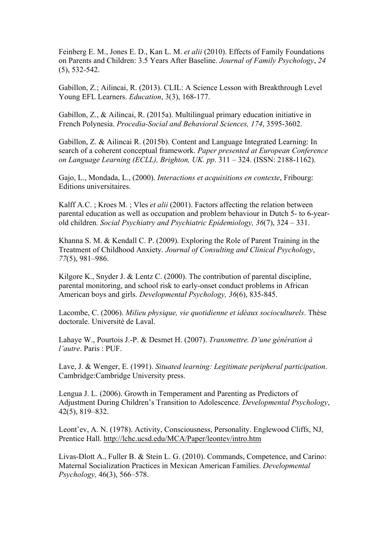Feinberg E. M., Jones E. D., Kan L. M. *et alii* (2010). Effects of Family Foundations on Parents and Children: 3.5 Years After Baseline. *Journal of Family Psychology*, *24*  (5), 532-542.

Gabillon, Z.; Ailincai, R. (2013). CLIL: A Science Lesson with Breakthrough Level Young EFL Learners. *Education*, 3(3), 168-177.

Gabillon, Z., & Ailincai, R. (2015a). Multilingual primary education initiative in French Polynesia. *Procedia-Social and Behavioral Sciences, 174*, 3595-3602.

Gabillon, Z. & Ailincai R. (2015b). Content and Language Integrated Learning: In search of a coherent conceptual framework. *Paper presented at European Conference on Language Learning (ECLL), Brighton, UK. pp*. 311 – 324. (ISSN: 2188-1162).

Gajo, L., Mondada, L., (2000). *Interactions et acquisitions en contexte*, Fribourg: Editions universitaires.

Kalff A.C. ; Kroes M. ; Vles *et alii* (2001). Factors affecting the relation between parental education as well as occupation and problem behaviour in Dutch 5- to 6-yearold children*. Social Psychiatry and Psychiatric Epidemiology, 36*(7), 324 – 331.

Khanna S. M. & Kendall C. P. (2009). Exploring the Role of Parent Training in the Treatment of Childhood Anxiety. *Journal of Consulting and Clinical Psychology*, *77*(5), 981–986.

Kilgore K., Snyder J. & Lentz C. (2000). The contribution of parental discipline, parental monitoring, and school risk to early-onset conduct problems in African American boys and girls. *Developmental Psychology, 36*(6), 835-845.

Lacombe, C. (2006). *Milieu physique, vie quotidienne et idéaux socioculturels*. Thèse doctorale. Université de Laval.

Lahaye W., Pourtois J.-P. & Desmet H. (2007). *Transmettre. D'une génération à l'autre*. Paris : PUF.

Lave, J. & Wenger, E. (1991). *Situated learning: Legitimate peripheral participation*. Cambridge:Cambridge University press.

Lengua J. L. (2006). Growth in Temperament and Parenting as Predictors of Adjustment During Children's Transition to Adolescence. *Developmental Psychology*, 42(5), 819–832.

Leont'ev, A. N. (1978). Activity, Consciousness, Personality. Englewood Cliffs, NJ, Prentice Hall. http://lchc.ucsd.edu/MCA/Paper/leontev/intro.htm

Livas-Dlott A., Fuller B. & Stein L. G. (2010). Commands, Competence, and Carino: Maternal Socialization Practices in Mexican American Families. *Developmental Psychology,* 46(3), 566–578.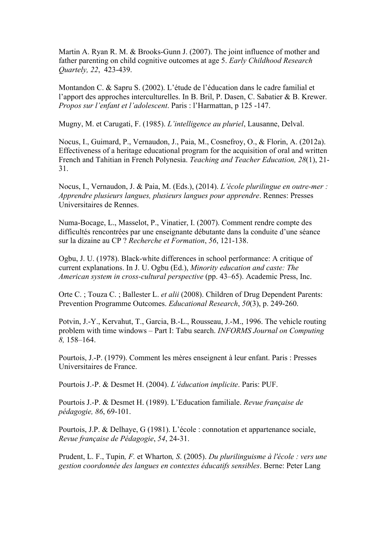Martin A. Ryan R. M. & Brooks-Gunn J. (2007). The joint influence of mother and father parenting on child cognitive outcomes at age 5. *Early Childhood Research Quartely, 22*, 423-439.

Montandon C. & Sapru S. (2002). L'étude de l'éducation dans le cadre familial et l'apport des approches interculturelles. In B. Bril, P. Dasen, C. Sabatier & B. Krewer. *Propos sur l'enfant et l'adolescent*. Paris : l'Harmattan, p 125 -147.

Mugny, M. et Carugati, F. (1985). *L'intelligence au pluriel*, Lausanne, Delval.

Nocus, I., Guimard, P., Vernaudon, J., Paia, M., Cosnefroy, O., & Florin, A. (2012a). Effectiveness of a heritage educational program for the acquisition of oral and written French and Tahitian in French Polynesia. *Teaching and Teacher Education, 28*(1), 21- 31.

Nocus, I., Vernaudon, J. & Paia, M. (Eds.), (2014). *L'école plurilingue en outre-mer : Apprendre plusieurs langues, plusieurs langues pour apprendre*. Rennes: Presses Universitaires de Rennes.

Numa-Bocage, L., Masselot, P., Vinatier, I. (2007). Comment rendre compte des difficultés rencontrées par une enseignante débutante dans la conduite d'une séance sur la dizaine au CP ? *Recherche et Formation*, *56*, 121-138.

Ogbu, J. U. (1978). Black-white differences in school performance: A critique of current explanations. In J. U. Ogbu (Ed.), *Minority education and caste: The American system in cross-cultural perspective* (pp. 43–65). Academic Press, Inc.

Orte C. ; Touza C. ; Ballester L. *et alii* (2008). Children of Drug Dependent Parents: Prevention Programme Outcomes. *Educational Research*, *50*(3), p. 249-260.

Potvin, J.-Y., Kervahut, T., Garcia, B.-L., Rousseau, J.-M., 1996. The vehicle routing problem with time windows – Part I: Tabu search. *INFORMS Journal on Computing 8,* 158–164.

Pourtois, J.-P. (1979). Comment les mères enseignent à leur enfant. Paris : Presses Universitaires de France.

Pourtois J.-P. & Desmet H. (2004). *L'éducation implicite*. Paris: PUF.

Pourtois J.-P. & Desmet H. (1989). L'Education familiale. *Revue française de pédagogie, 86*, 69-101.

Pourtois, J.P. & Delhaye, G (1981). L'école : connotation et appartenance sociale, *Revue française de Pédagogie*, *54*, 24-31.

Prudent, L. F., Tupin*, F.* et Wharton*, S*. (2005). *Du plurilinguisme à l'école : vers une gestion coordonnée des langues en contextes éducatifs sensibles*. Berne: Peter Lang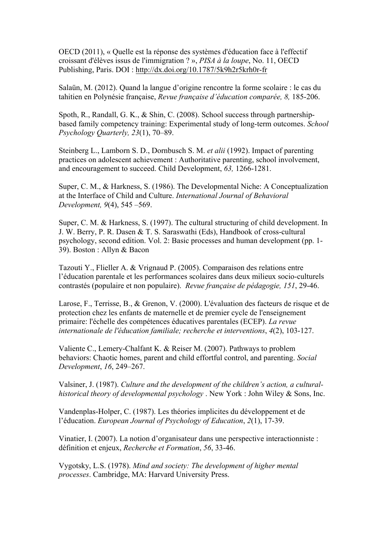OECD (2011), « Quelle est la réponse des systèmes d'éducation face à l'effectif croissant d'élèves issus de l'immigration ? », *PISA à la loupe*, No. 11, OECD Publishing, Paris. DOI : http://dx.doi.org/10.1787/5k9h2r5krh0r-fr

Salaün, M. (2012). Quand la langue d'origine rencontre la forme scolaire : le cas du tahitien en Polynésie française, *Revue française d'éducation comparée, 8,* 185-206.

Spoth, R., Randall, G. K., & Shin, C. (2008). School success through partnershipbased family competency training: Experimental study of long-term outcomes. *School Psychology Quarterly, 23*(1), 70–89.

Steinberg L., Lamborn S. D., Dornbusch S. M. *et alii* (1992). Impact of parenting practices on adolescent achievement : Authoritative parenting, school involvement, and encouragement to succeed. Child Development, *63,* 1266-1281.

Super, C. M., & Harkness, S. (1986). The Developmental Niche: A Conceptualization at the Interface of Child and Culture. *International Journal of Behavioral Development, 9*(4), 545 –569.

Super, C. M. & Harkness, S. (1997). The cultural structuring of child development. In J. W. Berry, P. R. Dasen & T. S. Saraswathi (Eds), Handbook of cross-cultural psychology, second edition. Vol. 2: Basic processes and human development (pp. 1- 39). Boston : Allyn & Bacon

Tazouti Y., Flieller A. & Vrignaud P. (2005). Comparaison des relations entre l'éducation parentale et les performances scolaires dans deux milieux socio-culturels contrastés (populaire et non populaire). *Revue française de pédagogie, 151*, 29-46.

Larose, F., Terrisse, B., & Grenon, V. (2000). L'évaluation des facteurs de risque et de protection chez les enfants de maternelle et de premier cycle de l'enseignement primaire: l'échelle des compétences éducatives parentales (ECEP). *La revue internationale de l'éducation familiale; recherche et interventions*, *4*(2), 103-127.

Valiente C., Lemery-Chalfant K. & Reiser M. (2007). Pathways to problem behaviors: Chaotic homes, parent and child effortful control, and parenting. *Social Development*, *16*, 249–267.

Valsiner, J. (1987). *Culture and the development of the children's action, a culturalhistorical theory of developmental psychology* . New York : John Wiley & Sons, Inc.

Vandenplas-Holper, C. (1987). Les théories implicites du développement et de l'éducation. *European Journal of Psychology of Education*, *2*(1), 17-39.

Vinatier, I. (2007). La notion d'organisateur dans une perspective interactionniste : définition et enjeux, *Recherche et Formation*, *56*, 33-46.

Vygotsky, L.S. (1978). *Mind and society: The development of higher mental processes*. Cambridge, MA: Harvard University Press.